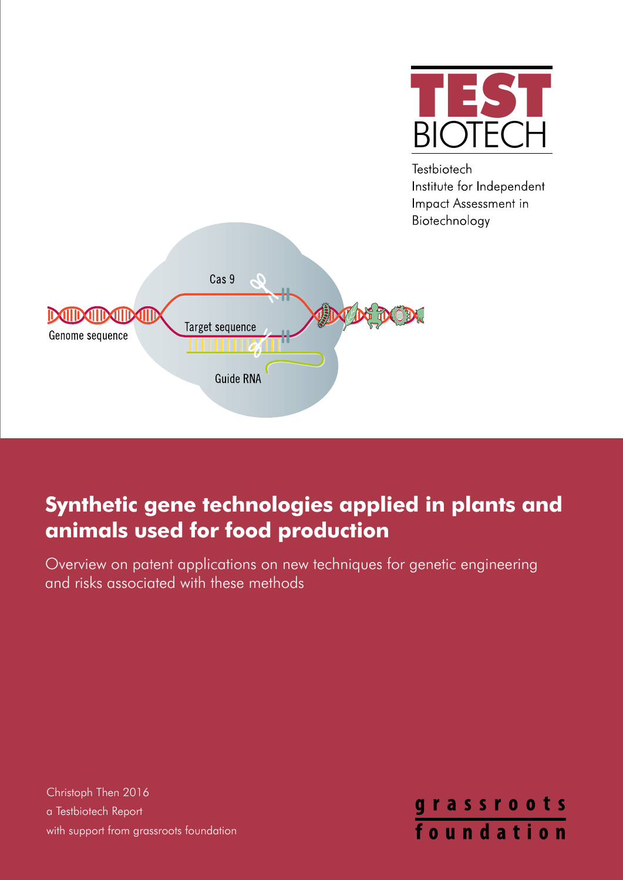

**Testbiotech** Institute for Independent Impact Assessment in Biotechnology



# **Synthetic gene technologies applied in plants and animals used for food production**

Overview on patent applications on new techniques for genetic engineering and risks associated with these methods

Christoph Then 2016 a Testbiotech Report with support from grassroots foundation

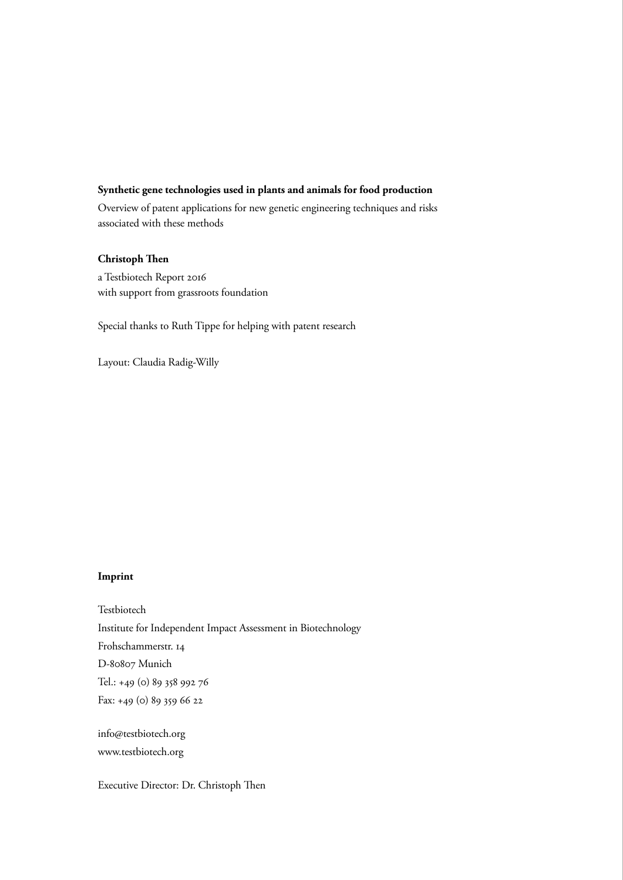#### **Synthetic gene technologies used in plants and animals for food production**

Overview of patent applications for new genetic engineering techniques and risks associated with these methods

#### **Christoph Then**

a Testbiotech Report 2016 with support from grassroots foundation

Special thanks to Ruth Tippe for helping with patent research

Layout: Claudia Radig-Willy

#### **Imprint**

Testbiotech Institute for Independent Impact Assessment in Biotechnology Frohschammerstr. 14 D-80807 Munich Tel.: +49 (0) 89 358 992 76 Fax: +49 (0) 89 359 66 22

info@testbiotech.org www.testbiotech.org

Executive Director: Dr. Christoph Then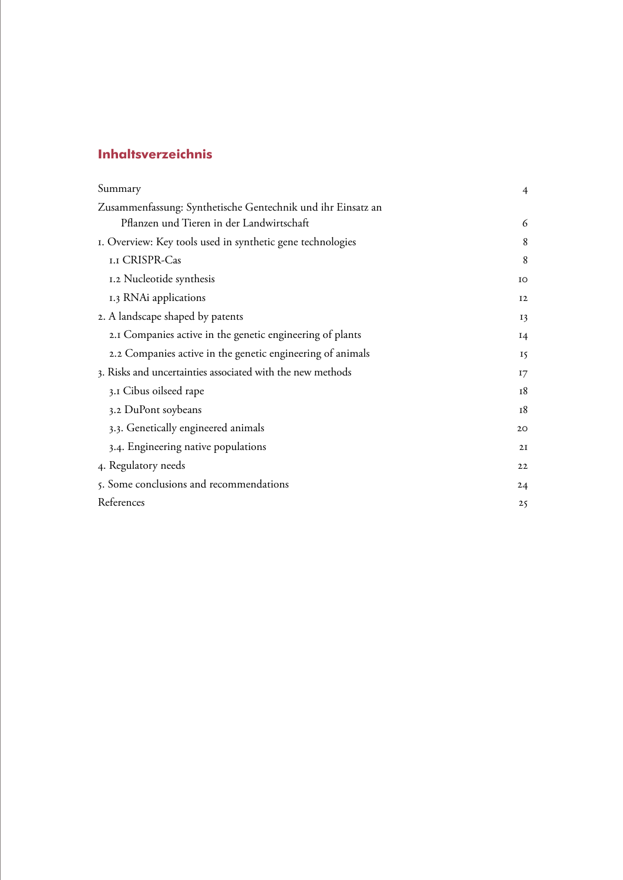# **Inhaltsverzeichnis**

| Summary                                                     |    |
|-------------------------------------------------------------|----|
| Zusammenfassung: Synthetische Gentechnik und ihr Einsatz an |    |
| Pflanzen und Tieren in der Landwirtschaft                   | 6  |
| I. Overview: Key tools used in synthetic gene technologies  |    |
| <b>I.I CRISPR-Cas</b>                                       | 8  |
| 1.2 Nucleotide synthesis                                    | IO |
| 1.3 RNAi applications                                       | 12 |
| 2. A landscape shaped by patents                            | 13 |
| 2.1 Companies active in the genetic engineering of plants   | 14 |
| 2.2 Companies active in the genetic engineering of animals  | 15 |
| 3. Risks and uncertainties associated with the new methods  |    |
| 3.1 Cibus oilseed rape                                      | 18 |
| 3.2 DuPont soybeans                                         | 18 |
| 3.3. Genetically engineered animals                         | 20 |
| 3.4. Engineering native populations                         | 2I |
| 4. Regulatory needs                                         | 22 |
| 5. Some conclusions and recommendations                     | 24 |
| References                                                  | 25 |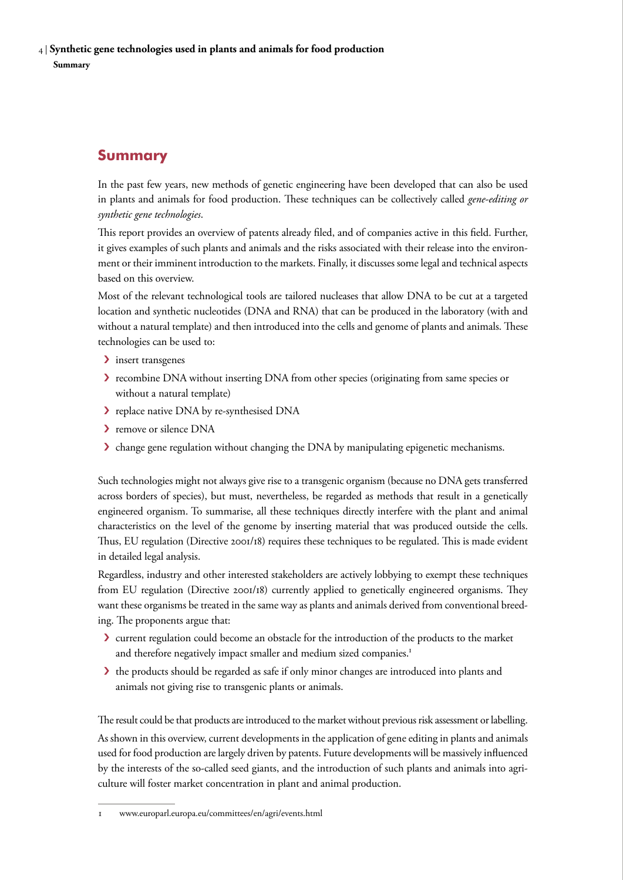<span id="page-3-0"></span>4 | **Synthetic gene technologies used in plants and animals for food production Summary** 

# **Summary**

In the past few years, new methods of genetic engineering have been developed that can also be used in plants and animals for food production. These techniques can be collectively called *gene-editing or synthetic gene technologies*.

This report provides an overview of patents already filed, and of companies active in this field. Further, it gives examples of such plants and animals and the risks associated with their release into the environment or their imminent introduction to the markets. Finally, it discusses some legal and technical aspects based on this overview.

Most of the relevant technological tools are tailored nucleases that allow DNA to be cut at a targeted location and synthetic nucleotides (DNA and RNA) that can be produced in the laboratory (with and without a natural template) and then introduced into the cells and genome of plants and animals. These technologies can be used to:

- > insert transgenes
- **>** recombine DNA without inserting DNA from other species (originating from same species or without a natural template)
- › replace native DNA by re-synthesised DNA
- > remove or silence DNA
- › change gene regulation without changing the DNA by manipulating epigenetic mechanisms.

Such technologies might not always give rise to a transgenic organism (because no DNA gets transferred across borders of species), but must, nevertheless, be regarded as methods that result in a genetically engineered organism. To summarise, all these techniques directly interfere with the plant and animal characteristics on the level of the genome by inserting material that was produced outside the cells. Thus, EU regulation (Directive 2001/18) requires these techniques to be regulated. This is made evident in detailed legal analysis.

Regardless, industry and other interested stakeholders are actively lobbying to exempt these techniques from EU regulation (Directive 2001/18) currently applied to genetically engineered organisms. They want these organisms be treated in the same way as plants and animals derived from conventional breeding. The proponents argue that:

- › current regulation could become an obstacle for the introduction of the products to the market and therefore negatively impact smaller and medium sized companies.<sup>1</sup>
- $\blacktriangleright$  the products should be regarded as safe if only minor changes are introduced into plants and animals not giving rise to transgenic plants or animals.

The result could be that products are introduced to the market without previous risk assessment or labelling.

As shown in this overview, current developments in the application of gene editing in plants and animals used for food production are largely driven by patents. Future developments will be massively influenced by the interests of the so-called seed giants, and the introduction of such plants and animals into agriculture will foster market concentration in plant and animal production.

[www.europarl.europa.eu/committees/en/agri/events.html](http://www.europarl.europa.eu/committees/en/agri/events.html)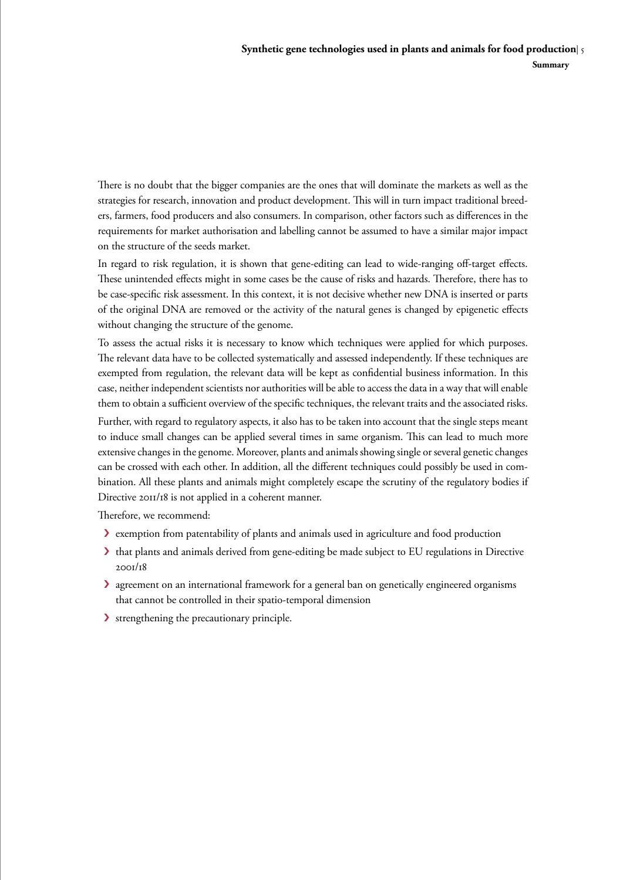There is no doubt that the bigger companies are the ones that will dominate the markets as well as the strategies for research, innovation and product development. This will in turn impact traditional breeders, farmers, food producers and also consumers. In comparison, other factors such as differences in the requirements for market authorisation and labelling cannot be assumed to have a similar major impact on the structure of the seeds market.

In regard to risk regulation, it is shown that gene-editing can lead to wide-ranging off-target effects. These unintended effects might in some cases be the cause of risks and hazards. Therefore, there has to be case-specific risk assessment. In this context, it is not decisive whether new DNA is inserted or parts of the original DNA are removed or the activity of the natural genes is changed by epigenetic effects without changing the structure of the genome.

To assess the actual risks it is necessary to know which techniques were applied for which purposes. The relevant data have to be collected systematically and assessed independently. If these techniques are exempted from regulation, the relevant data will be kept as confidential business information. In this case, neither independent scientists nor authorities will be able to access the data in a way that will enable them to obtain a sufficient overview of the specific techniques, the relevant traits and the associated risks.

Further, with regard to regulatory aspects, it also has to be taken into account that the single steps meant to induce small changes can be applied several times in same organism. This can lead to much more extensive changes in the genome. Moreover, plants and animals showing single or several genetic changes can be crossed with each other. In addition, all the different techniques could possibly be used in combination. All these plants and animals might completely escape the scrutiny of the regulatory bodies if Directive 2011/18 is not applied in a coherent manner.

Therefore, we recommend:

- › exemption from patentability of plants and animals used in agriculture and food production
- I that plants and animals derived from gene-editing be made subject to EU regulations in Directive 2001/18
- › agreement on an international framework for a general ban on genetically engineered organisms that cannot be controlled in their spatio-temporal dimension
- › strengthening the precautionary principle.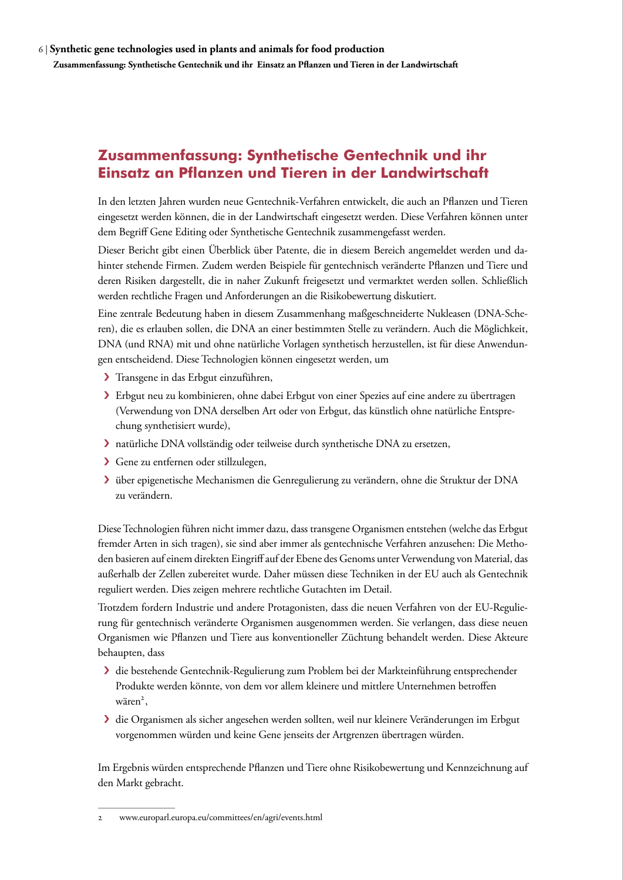# <span id="page-5-0"></span>**Zusammenfassung: Synthetische Gentechnik und ihr Einsatz an Pflanzen und Tieren in der Landwirtschaft**

In den letzten Jahren wurden neue Gentechnik-Verfahren entwickelt, die auch an Pflanzen und Tieren eingesetzt werden können, die in der Landwirtschaft eingesetzt werden. Diese Verfahren können unter dem Begriff Gene Editing oder Synthetische Gentechnik zusammengefasst werden.

Dieser Bericht gibt einen Überblick über Patente, die in diesem Bereich angemeldet werden und dahinter stehende Firmen. Zudem werden Beispiele für gentechnisch veränderte Pflanzen und Tiere und deren Risiken dargestellt, die in naher Zukunft freigesetzt und vermarktet werden sollen. Schließlich werden rechtliche Fragen und Anforderungen an die Risikobewertung diskutiert.

Eine zentrale Bedeutung haben in diesem Zusammenhang maßgeschneiderte Nukleasen (DNA-Scheren), die es erlauben sollen, die DNA an einer bestimmten Stelle zu verändern. Auch die Möglichkeit, DNA (und RNA) mit und ohne natürliche Vorlagen synthetisch herzustellen, ist für diese Anwendungen entscheidend. Diese Technologien können eingesetzt werden, um

- › Transgene in das Erbgut einzuführen,
- › Erbgut neu zu kombinieren, ohne dabei Erbgut von einer Spezies auf eine andere zu übertragen (Verwendung von DNA derselben Art oder von Erbgut, das künstlich ohne natürliche Entsprechung synthetisiert wurde),
- › natürliche DNA vollständig oder teilweise durch synthetische DNA zu ersetzen,
- › Gene zu entfernen oder stillzulegen,
- › über epigenetische Mechanismen die Genregulierung zu verändern, ohne die Struktur der DNA zu verändern.

Diese Technologien führen nicht immer dazu, dass transgene Organismen entstehen (welche das Erbgut fremder Arten in sich tragen), sie sind aber immer als gentechnische Verfahren anzusehen: Die Methoden basieren auf einem direkten Eingriff auf der Ebene des Genoms unter Verwendung von Material, das außerhalb der Zellen zubereitet wurde. Daher müssen diese Techniken in der EU auch als Gentechnik reguliert werden. Dies zeigen mehrere rechtliche Gutachten im Detail.

Trotzdem fordern Industrie und andere Protagonisten, dass die neuen Verfahren von der EU-Regulierung für gentechnisch veränderte Organismen ausgenommen werden. Sie verlangen, dass diese neuen Organismen wie Pflanzen und Tiere aus konventioneller Züchtung behandelt werden. Diese Akteure behaupten, dass

- › die bestehende Gentechnik-Regulierung zum Problem bei der Markteinführung entsprechender Produkte werden könnte, von dem vor allem kleinere und mittlere Unternehmen betroffen wären<sup>2</sup>,
- › die Organismen als sicher angesehen werden sollten, weil nur kleinere Veränderungen im Erbgut vorgenommen würden und keine Gene jenseits der Artgrenzen übertragen würden.

Im Ergebnis würden entsprechende Pflanzen und Tiere ohne Risikobewertung und Kennzeichnung auf den Markt gebracht.

<sup>2</sup> [www.europarl.europa.eu/committees/en/agri/events.html](http://www.europarl.europa.eu/committees/en/agri/events.html)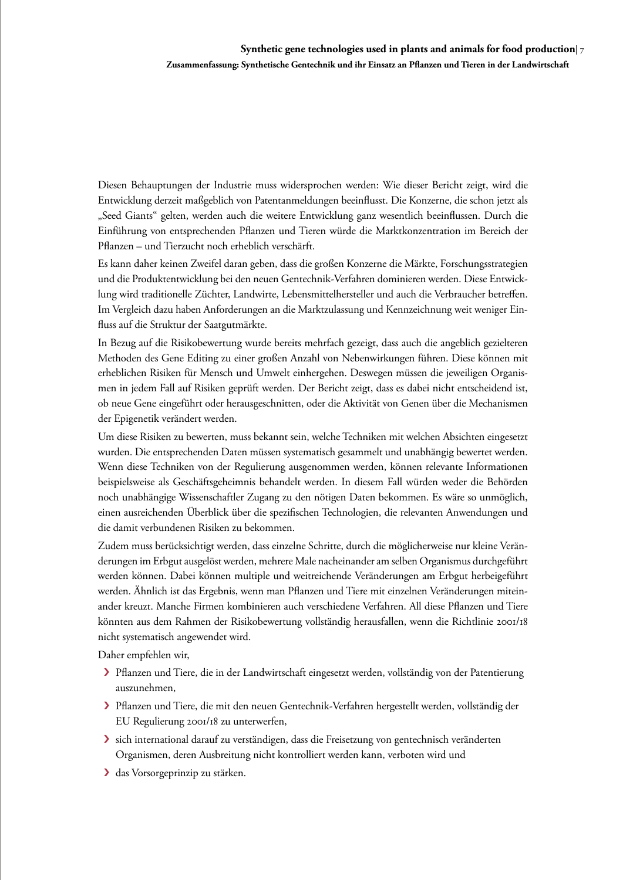Diesen Behauptungen der Industrie muss widersprochen werden: Wie dieser Bericht zeigt, wird die Entwicklung derzeit maßgeblich von Patentanmeldungen beeinflusst. Die Konzerne, die schon jetzt als "Seed Giants" gelten, werden auch die weitere Entwicklung ganz wesentlich beeinflussen. Durch die Einführung von entsprechenden Pflanzen und Tieren würde die Marktkonzentration im Bereich der Pflanzen – und Tierzucht noch erheblich verschärft.

Es kann daher keinen Zweifel daran geben, dass die großen Konzerne die Märkte, Forschungsstrategien und die Produktentwicklung bei den neuen Gentechnik-Verfahren dominieren werden. Diese Entwicklung wird traditionelle Züchter, Landwirte, Lebensmittelhersteller und auch die Verbraucher betreffen. Im Vergleich dazu haben Anforderungen an die Marktzulassung und Kennzeichnung weit weniger Einfluss auf die Struktur der Saatgutmärkte.

In Bezug auf die Risikobewertung wurde bereits mehrfach gezeigt, dass auch die angeblich gezielteren Methoden des Gene Editing zu einer großen Anzahl von Nebenwirkungen führen. Diese können mit erheblichen Risiken für Mensch und Umwelt einhergehen. Deswegen müssen die jeweiligen Organismen in jedem Fall auf Risiken geprüft werden. Der Bericht zeigt, dass es dabei nicht entscheidend ist, ob neue Gene eingeführt oder herausgeschnitten, oder die Aktivität von Genen über die Mechanismen der Epigenetik verändert werden.

Um diese Risiken zu bewerten, muss bekannt sein, welche Techniken mit welchen Absichten eingesetzt wurden. Die entsprechenden Daten müssen systematisch gesammelt und unabhängig bewertet werden. Wenn diese Techniken von der Regulierung ausgenommen werden, können relevante Informationen beispielsweise als Geschäftsgeheimnis behandelt werden. In diesem Fall würden weder die Behörden noch unabhängige Wissenschaftler Zugang zu den nötigen Daten bekommen. Es wäre so unmöglich, einen ausreichenden Überblick über die spezifischen Technologien, die relevanten Anwendungen und die damit verbundenen Risiken zu bekommen.

Zudem muss berücksichtigt werden, dass einzelne Schritte, durch die möglicherweise nur kleine Veränderungen im Erbgut ausgelöst werden, mehrere Male nacheinander am selben Organismus durchgeführt werden können. Dabei können multiple und weitreichende Veränderungen am Erbgut herbeigeführt werden. Ähnlich ist das Ergebnis, wenn man Pflanzen und Tiere mit einzelnen Veränderungen miteinander kreuzt. Manche Firmen kombinieren auch verschiedene Verfahren. All diese Pflanzen und Tiere könnten aus dem Rahmen der Risikobewertung vollständig herausfallen, wenn die Richtlinie 2001/18 nicht systematisch angewendet wird.

Daher empfehlen wir,

- › Pflanzen und Tiere, die in der Landwirtschaft eingesetzt werden, vollständig von der Patentierung auszunehmen,
- › Pflanzen und Tiere, die mit den neuen Gentechnik-Verfahren hergestellt werden, vollständig der EU Regulierung 2001/18 zu unterwerfen,
- › sich international darauf zu verständigen, dass die Freisetzung von gentechnisch veränderten Organismen, deren Ausbreitung nicht kontrolliert werden kann, verboten wird und
- › das Vorsorgeprinzip zu stärken.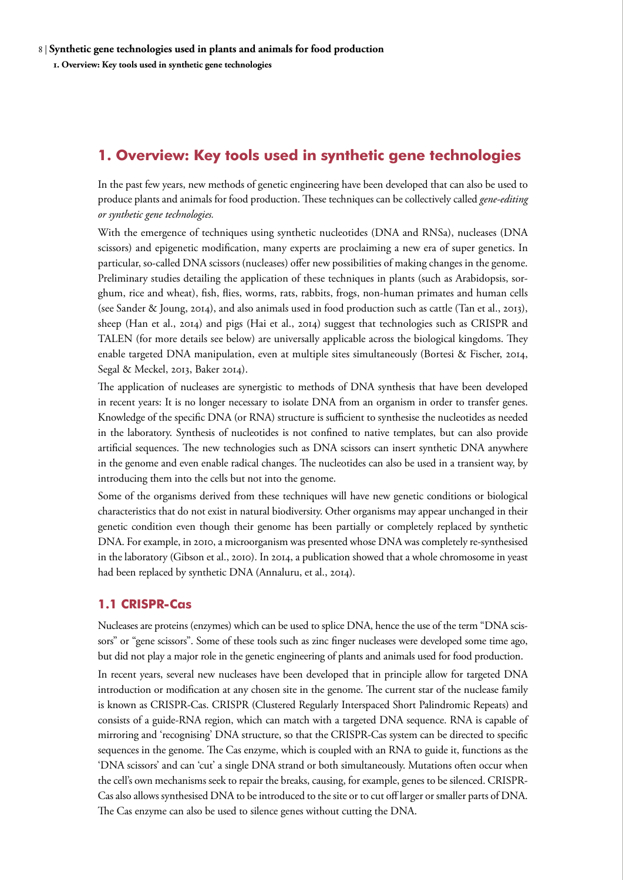# <span id="page-7-0"></span>**1. Overview: Key tools used in synthetic gene technologies**

In the past few years, new methods of genetic engineering have been developed that can also be used to produce plants and animals for food production. These techniques can be collectively called *gene-editing or synthetic gene technologies.*

With the emergence of techniques using synthetic nucleotides (DNA and RNSa), nucleases (DNA scissors) and epigenetic modification, many experts are proclaiming a new era of super genetics. In particular, so-called DNA scissors (nucleases) offer new possibilities of making changes in the genome. Preliminary studies detailing the application of these techniques in plants (such as Arabidopsis, sorghum, rice and wheat), fish, flies, worms, rats, rabbits, frogs, non-human primates and human cells (see Sander & Joung, 2014), and also animals used in food production such as cattle (Tan et al., 2013), sheep (Han et al., 2014) and pigs (Hai et al., 2014) suggest that technologies such as CRISPR and TALEN (for more details see below) are universally applicable across the biological kingdoms. They enable targeted DNA manipulation, even at multiple sites simultaneously (Bortesi & Fischer, 2014, Segal & Meckel, 2013, Baker 2014).

The application of nucleases are synergistic to methods of DNA synthesis that have been developed in recent years: It is no longer necessary to isolate DNA from an organism in order to transfer genes. Knowledge of the specific DNA (or RNA) structure is sufficient to synthesise the nucleotides as needed in the laboratory. Synthesis of nucleotides is not confined to native templates, but can also provide artificial sequences. The new technologies such as DNA scissors can insert synthetic DNA anywhere in the genome and even enable radical changes. The nucleotides can also be used in a transient way, by introducing them into the cells but not into the genome.

Some of the organisms derived from these techniques will have new genetic conditions or biological characteristics that do not exist in natural biodiversity. Other organisms may appear unchanged in their genetic condition even though their genome has been partially or completely replaced by synthetic DNA. For example, in 2010, a microorganism was presented whose DNA was completely re-synthesised in the laboratory (Gibson et al., 2010). In 2014, a publication showed that a whole chromosome in yeast had been replaced by synthetic DNA (Annaluru, et al., 2014).

## **1.1 CRISPR-Cas**

Nucleases are proteins (enzymes) which can be used to splice DNA, hence the use of the term "DNA scissors" or "gene scissors". Some of these tools such as zinc finger nucleases were developed some time ago, but did not play a major role in the genetic engineering of plants and animals used for food production.

In recent years, several new nucleases have been developed that in principle allow for targeted DNA introduction or modification at any chosen site in the genome. The current star of the nuclease family is known as CRISPR-Cas. CRISPR (Clustered Regularly Interspaced Short Palindromic Repeats) and consists of a guide-RNA region, which can match with a targeted DNA sequence. RNA is capable of mirroring and 'recognising' DNA structure, so that the CRISPR-Cas system can be directed to specific sequences in the genome. The Cas enzyme, which is coupled with an RNA to guide it, functions as the 'DNA scissors' and can 'cut' a single DNA strand or both simultaneously. Mutations often occur when the cell's own mechanisms seek to repair the breaks, causing, for example, genes to be silenced. CRISPR-Cas also allows synthesised DNA to be introduced to the site or to cut off larger or smaller parts of DNA. The Cas enzyme can also be used to silence genes without cutting the DNA.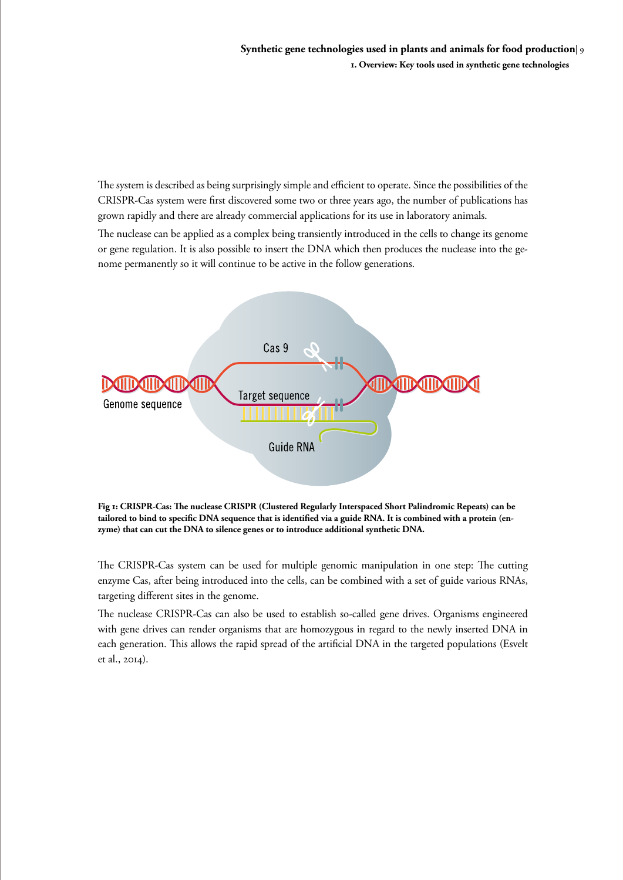The system is described as being surprisingly simple and efficient to operate. Since the possibilities of the CRISPR-Cas system were first discovered some two or three years ago, the number of publications has grown rapidly and there are already commercial applications for its use in laboratory animals.

The nuclease can be applied as a complex being transiently introduced in the cells to change its genome or gene regulation. It is also possible to insert the DNA which then produces the nuclease into the genome permanently so it will continue to be active in the follow generations.



**Fig 1: CRISPR-Cas: The nuclease CRISPR (Clustered Regularly Interspaced Short Palindromic Repeats) can be tailored to bind to specific DNA sequence that is identified via a guide RNA. It is combined with a protein (enzyme) that can cut the DNA to silence genes or to introduce additional synthetic DNA.** 

The CRISPR-Cas system can be used for multiple genomic manipulation in one step: The cutting enzyme Cas, after being introduced into the cells, can be combined with a set of guide various RNAs, targeting different sites in the genome.

The nuclease CRISPR-Cas can also be used to establish so-called gene drives. Organisms engineered with gene drives can render organisms that are homozygous in regard to the newly inserted DNA in each generation. This allows the rapid spread of the artificial DNA in the targeted populations (Esvelt et al., 2014).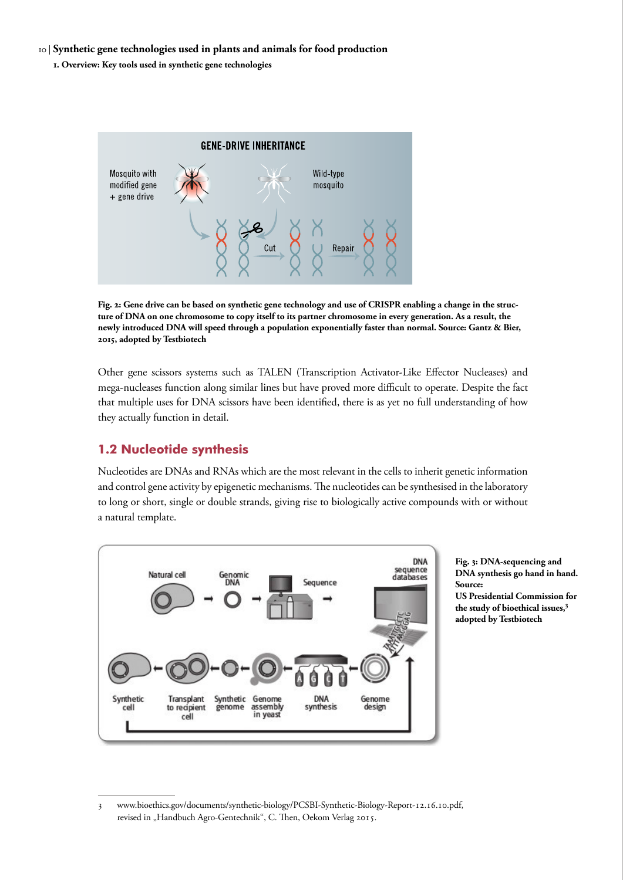#### <span id="page-9-0"></span>10 | **Synthetic gene technologies used in plants and animals for food production**

**1. Overview: Key tools used in synthetic gene technologies** 



**Fig. 2: Gene drive can be based on synthetic gene technology and use of CRISPR enabling a change in the structure of DNA on one chromosome to copy itself to its partner chromosome in every generation. As a result, the newly introduced DNA will speed through a population exponentially faster than normal. Source: Gantz & Bier, 2015, adopted by Testbiotech**

Other gene scissors systems such as TALEN (Transcription Activator-Like Effector Nucleases) and mega-nucleases function along similar lines but have proved more difficult to operate. Despite the fact that multiple uses for DNA scissors have been identified, there is as yet no full understanding of how they actually function in detail.

## **1.2 Nucleotide synthesis**

Nucleotides are DNAs and RNAs which are the most relevant in the cells to inherit genetic information and control gene activity by epigenetic mechanisms. The nucleotides can be synthesised in the laboratory to long or short, single or double strands, giving rise to biologically active compounds with or without a natural template.**<sup>3</sup>**



**Fig. 3: DNA-sequencing and DNA synthesis go hand in hand. Source: US Presidential Commission for the study of bioethical issues,3**

<sup>3</sup> [www.bioethics.gov/documents/synthetic-biology/PCSBI-Synthetic-Biology-Report-12.16.10.pdf,](http://www.bioethics.gov/documents/synthetic-biology/PCSBI-Synthetic-Biology-Report-12.16.10.pdf) revised in "Handbuch Agro-Gentechnik", C. Then, Oekom Verlag 2015.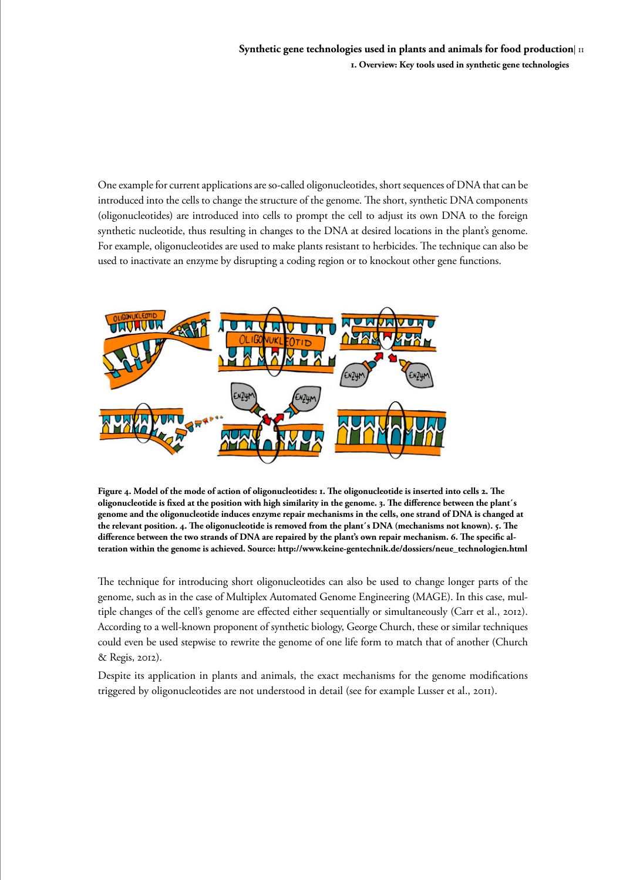One example for current applications are so-called oligonucleotides, short sequences of DNA that can be introduced into the cells to change the structure of the genome. The short, synthetic DNA components (oligonucleotides) are introduced into cells to prompt the cell to adjust its own DNA to the foreign synthetic nucleotide, thus resulting in changes to the DNA at desired locations in the plant's genome. For example, oligonucleotides are used to make plants resistant to herbicides. The technique can also be used to inactivate an enzyme by disrupting a coding region or to knockout other gene functions.



**Figure 4. Model of the mode of action of oligonucleotides: 1. The oligonucleotide is inserted into cells 2. The oligonucleotide is fixed at the position with high similarity in the genome. 3. The difference between the plant´s genome and the oligonucleotide induces enzyme repair mechanisms in the cells, one strand of DNA is changed at the relevant position. 4. The oligonucleotide is removed from the plant´s DNA (mechanisms not known). 5. The difference between the two strands of DNA are repaired by the plant's own repair mechanism. 6. The specific alteration within the genome is achieved. Source: http://www.keine-gentechnik.de/dossiers/neue\_technologien.html**

The technique for introducing short oligonucleotides can also be used to change longer parts of the genome, such as in the case of Multiplex Automated Genome Engineering (MAGE). In this case, multiple changes of the cell's genome are effected either sequentially or simultaneously (Carr et al., 2012). According to a well-known proponent of synthetic biology, George Church, these or similar techniques could even be used stepwise to rewrite the genome of one life form to match that of another (Church & Regis, 2012).

Despite its application in plants and animals, the exact mechanisms for the genome modifications triggered by oligonucleotides are not understood in detail (see for example Lusser et al., 2011).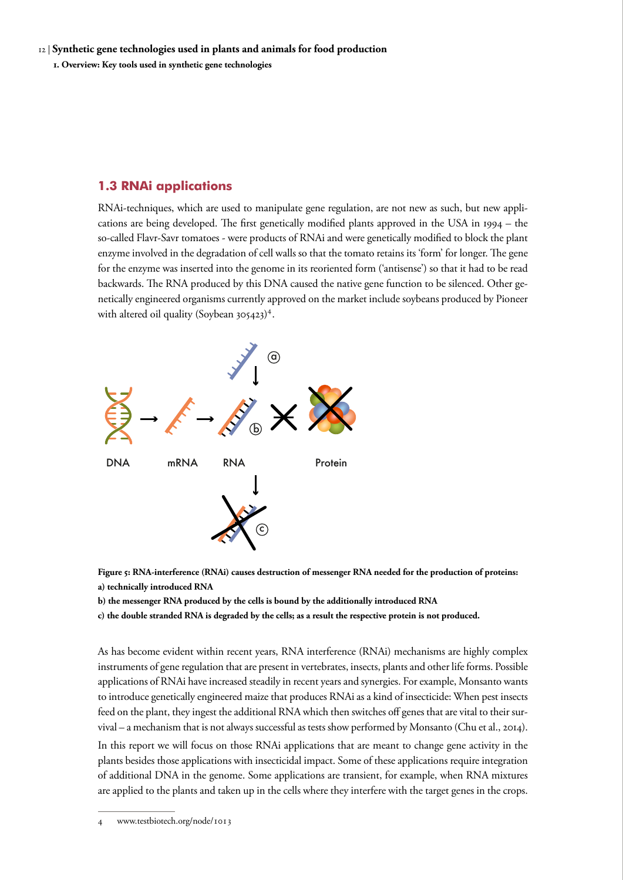#### <span id="page-11-0"></span>**1.3 RNAi applications**

RNAi-techniques, which are used to manipulate gene regulation, are not new as such, but new applications are being developed. The first genetically modified plants approved in the USA in 1994 – the so-called Flavr-Savr tomatoes - were products of RNAi and were genetically modified to block the plant enzyme involved in the degradation of cell walls so that the tomato retains its 'form' for longer. The gene for the enzyme was inserted into the genome in its reoriented form ('antisense') so that it had to be read backwards. The RNA produced by this DNA caused the native gene function to be silenced. Other genetically engineered organisms currently approved on the market include soybeans produced by Pioneer with altered oil quality (Soybean 305423)<sup>4</sup>.



**Figure 5: RNA-interference (RNAi) causes destruction of messenger RNA needed for the production of proteins: a) technically introduced RNA**

**b) the messenger RNA produced by the cells is bound by the additionally introduced RNA**

**c) the double stranded RNA is degraded by the cells; as a result the respective protein is not produced.** 

As has become evident within recent years, RNA interference (RNAi) mechanisms are highly complex instruments of gene regulation that are present in vertebrates, insects, plants and other life forms. Possible applications of RNAi have increased steadily in recent years and synergies. For example, Monsanto wants to introduce genetically engineered maize that produces RNAi as a kind of insecticide: When pest insects feed on the plant, they ingest the additional RNA which then switches off genes that are vital to their survival – a mechanism that is not always successful as tests show performed by Monsanto (Chu et al., 2014).

In this report we will focus on those RNAi applications that are meant to change gene activity in the plants besides those applications with insecticidal impact. Some of these applications require integration of additional DNA in the genome. Some applications are transient, for example, when RNA mixtures are applied to the plants and taken up in the cells where they interfere with the target genes in the crops.

4 www.testbiotech.org/node/1013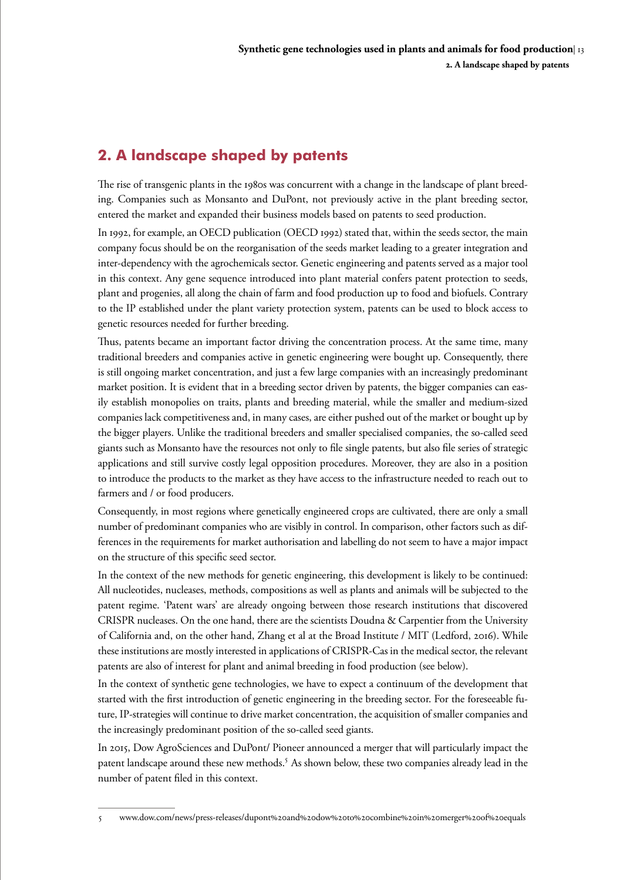# <span id="page-12-0"></span>**2. A landscape shaped by patents**

The rise of transgenic plants in the 1980s was concurrent with a change in the landscape of plant breeding. Companies such as Monsanto and DuPont, not previously active in the plant breeding sector, entered the market and expanded their business models based on patents to seed production.

In 1992, for example, an OECD publication (OECD 1992) stated that, within the seeds sector, the main company focus should be on the reorganisation of the seeds market leading to a greater integration and inter-dependency with the agrochemicals sector. Genetic engineering and patents served as a major tool in this context. Any gene sequence introduced into plant material confers patent protection to seeds, plant and progenies, all along the chain of farm and food production up to food and biofuels. Contrary to the IP established under the plant variety protection system, patents can be used to block access to genetic resources needed for further breeding.

Thus, patents became an important factor driving the concentration process. At the same time, many traditional breeders and companies active in genetic engineering were bought up. Consequently, there is still ongoing market concentration, and just a few large companies with an increasingly predominant market position. It is evident that in a breeding sector driven by patents, the bigger companies can easily establish monopolies on traits, plants and breeding material, while the smaller and medium-sized companies lack competitiveness and, in many cases, are either pushed out of the market or bought up by the bigger players. Unlike the traditional breeders and smaller specialised companies, the so-called seed giants such as Monsanto have the resources not only to file single patents, but also file series of strategic applications and still survive costly legal opposition procedures. Moreover, they are also in a position to introduce the products to the market as they have access to the infrastructure needed to reach out to farmers and / or food producers.

Consequently, in most regions where genetically engineered crops are cultivated, there are only a small number of predominant companies who are visibly in control. In comparison, other factors such as differences in the requirements for market authorisation and labelling do not seem to have a major impact on the structure of this specific seed sector.

In the context of the new methods for genetic engineering, this development is likely to be continued: All nucleotides, nucleases, methods, compositions as well as plants and animals will be subjected to the patent regime. 'Patent wars' are already ongoing between those research institutions that discovered CRISPR nucleases. On the one hand, there are the scientists Doudna & Carpentier from the University of California and, on the other hand, Zhang et al at the Broad Institute / MIT (Ledford, 2016). While these institutions are mostly interested in applications of CRISPR-Cas in the medical sector, the relevant patents are also of interest for plant and animal breeding in food production (see below).

In the context of synthetic gene technologies, we have to expect a continuum of the development that started with the first introduction of genetic engineering in the breeding sector. For the foreseeable future, IP-strategies will continue to drive market concentration, the acquisition of smaller companies and the increasingly predominant position of the so-called seed giants.

In 2015, Dow AgroSciences and DuPont/ Pioneer announced a merger that will particularly impact the patent landscape around these new methods.<sup>5</sup> As shown below, these two companies already lead in the number of patent filed in this context.

<sup>5</sup> www.dow.com/news/press-releases/dupont%20and%20dow%20to%20combine%20in%20merger%20of%20equals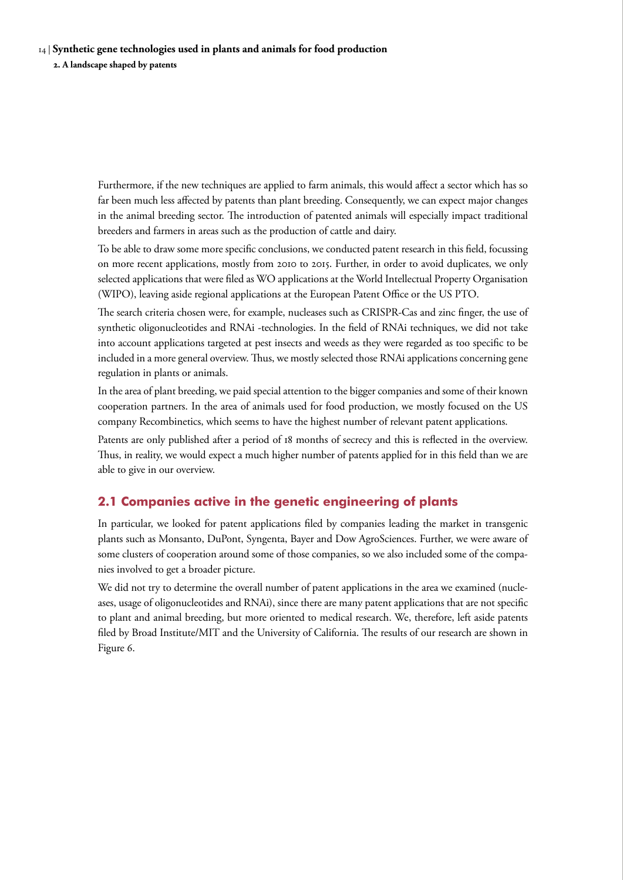#### <span id="page-13-0"></span>14 | **Synthetic gene technologies used in plants and animals for food production**

**2. A landscape shaped by patents** 

Furthermore, if the new techniques are applied to farm animals, this would affect a sector which has so far been much less affected by patents than plant breeding. Consequently, we can expect major changes in the animal breeding sector. The introduction of patented animals will especially impact traditional breeders and farmers in areas such as the production of cattle and dairy.

To be able to draw some more specific conclusions, we conducted patent research in this field, focussing on more recent applications, mostly from 2010 to 2015. Further, in order to avoid duplicates, we only selected applications that were filed as WO applications at the World Intellectual Property Organisation (WIPO), leaving aside regional applications at the European Patent Office or the US PTO.

The search criteria chosen were, for example, nucleases such as CRISPR-Cas and zinc finger, the use of synthetic oligonucleotides and RNAi -technologies. In the field of RNAi techniques, we did not take into account applications targeted at pest insects and weeds as they were regarded as too specific to be included in a more general overview. Thus, we mostly selected those RNAi applications concerning gene regulation in plants or animals.

In the area of plant breeding, we paid special attention to the bigger companies and some of their known cooperation partners. In the area of animals used for food production, we mostly focused on the US company Recombinetics, which seems to have the highest number of relevant patent applications.

Patents are only published after a period of 18 months of secrecy and this is reflected in the overview. Thus, in reality, we would expect a much higher number of patents applied for in this field than we are able to give in our overview.

## **2.1 Companies active in the genetic engineering of plants**

In particular, we looked for patent applications filed by companies leading the market in transgenic plants such as Monsanto, DuPont, Syngenta, Bayer and Dow AgroSciences. Further, we were aware of some clusters of cooperation around some of those companies, so we also included some of the companies involved to get a broader picture.

We did not try to determine the overall number of patent applications in the area we examined (nucleases, usage of oligonucleotides and RNAi), since there are many patent applications that are not specific to plant and animal breeding, but more oriented to medical research. We, therefore, left aside patents filed by Broad Institute/MIT and the University of California. The results of our research are shown in Figure 6.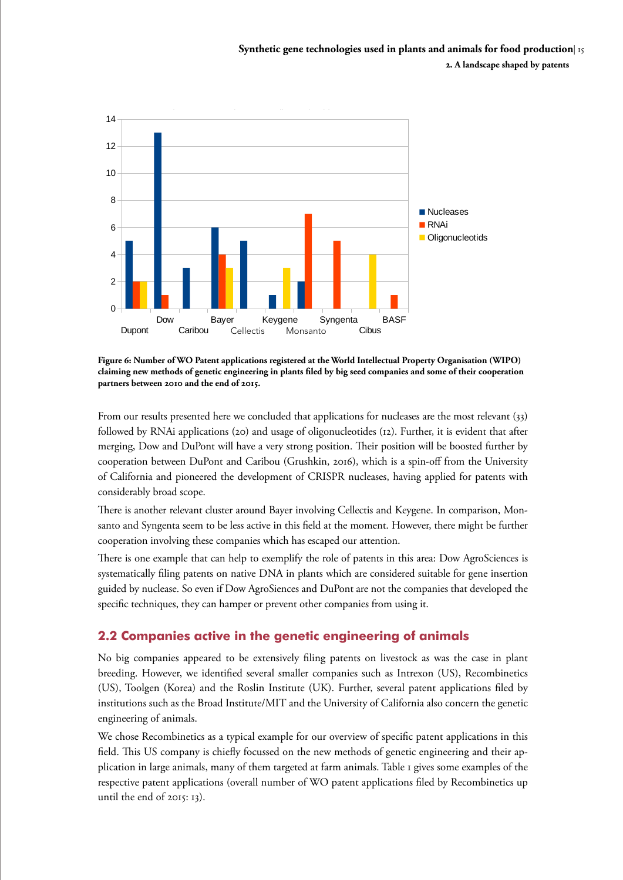<span id="page-14-0"></span>

**Figure 6: Number of WO Patent applications registered at the World Intellectual Property Organisation (WIPO) claiming new methods of genetic engineering in plants filed by big seed companies and some of their cooperation partners between 2010 and the end of 2015.**

From our results presented here we concluded that applications for nucleases are the most relevant (33) followed by RNAi applications (20) and usage of oligonucleotides (12). Further, it is evident that after merging, Dow and DuPont will have a very strong position. Their position will be boosted further by cooperation between DuPont and Caribou (Grushkin, 2016), which is a spin-off from the University of California and pioneered the development of CRISPR nucleases, having applied for patents with considerably broad scope.

There is another relevant cluster around Bayer involving Cellectis and Keygene. In comparison, Monsanto and Syngenta seem to be less active in this field at the moment. However, there might be further cooperation involving these companies which has escaped our attention.

There is one example that can help to exemplify the role of patents in this area: Dow AgroSciences is systematically filing patents on native DNA in plants which are considered suitable for gene insertion guided by nuclease. So even if Dow AgroSiences and DuPont are not the companies that developed the specific techniques, they can hamper or prevent other companies from using it.

## **2.2 Companies active in the genetic engineering of animals**

No big companies appeared to be extensively filing patents on livestock as was the case in plant breeding. However, we identified several smaller companies such as Intrexon (US), Recombinetics (US), Toolgen (Korea) and the Roslin Institute (UK). Further, several patent applications filed by institutions such as the Broad Institute/MIT and the University of California also concern the genetic engineering of animals.

We chose Recombinetics as a typical example for our overview of specific patent applications in this field. This US company is chiefly focussed on the new methods of genetic engineering and their application in large animals, many of them targeted at farm animals. Table 1 gives some examples of the respective patent applications (overall number of WO patent applications filed by Recombinetics up until the end of 2015: 13).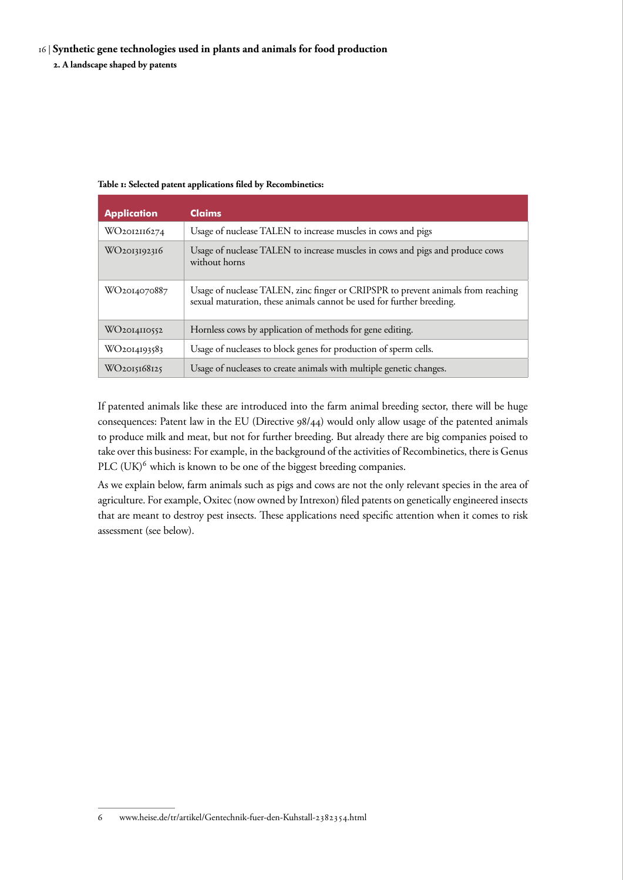#### 16 | **Synthetic gene technologies used in plants and animals for food production**

**2. A landscape shaped by patents** 

#### **Table 1: Selected patent applications filed by Recombinetics:**

| <b>Application</b>        | <b>Claims</b>                                                                                                                                             |
|---------------------------|-----------------------------------------------------------------------------------------------------------------------------------------------------------|
| WO <sub>2012116274</sub>  | Usage of nuclease TALEN to increase muscles in cows and pigs                                                                                              |
| WO <sub>2013192316</sub>  | Usage of nuclease TALEN to increase muscles in cows and pigs and produce cows<br>without horns                                                            |
| WO <sub>2014070</sub> 887 | Usage of nuclease TALEN, zinc finger or CRIPSPR to prevent animals from reaching<br>sexual maturation, these animals cannot be used for further breeding. |
| WO <sub>2014</sub> 110552 | Hornless cows by application of methods for gene editing.                                                                                                 |
| WO <sub>2014193583</sub>  | Usage of nucleases to block genes for production of sperm cells.                                                                                          |
| WO <sub>2015168125</sub>  | Usage of nucleases to create animals with multiple genetic changes.                                                                                       |

If patented animals like these are introduced into the farm animal breeding sector, there will be huge consequences: Patent law in the EU (Directive 98/44) would only allow usage of the patented animals to produce milk and meat, but not for further breeding. But already there are big companies poised to take over this business: For example, in the background of the activities of Recombinetics, there is Genus PLC  $(UK)^6$  which is known to be one of the biggest breeding companies.

As we explain below, farm animals such as pigs and cows are not the only relevant species in the area of agriculture. For example, Oxitec (now owned by Intrexon) filed patents on genetically engineered insects that are meant to destroy pest insects. These applications need specific attention when it comes to risk assessment (see below).

<sup>6</sup> www.heise.de/tr/artikel/Gentechnik-fuer-den-Kuhstall-2382354.html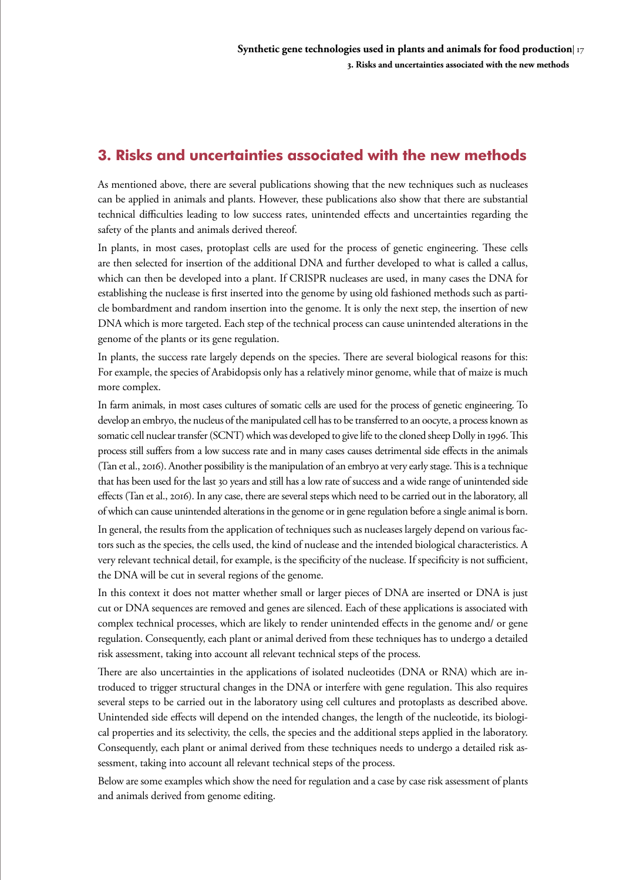# <span id="page-16-0"></span>**3. Risks and uncertainties associated with the new methods**

As mentioned above, there are several publications showing that the new techniques such as nucleases can be applied in animals and plants. However, these publications also show that there are substantial technical difficulties leading to low success rates, unintended effects and uncertainties regarding the safety of the plants and animals derived thereof.

In plants, in most cases, protoplast cells are used for the process of genetic engineering. These cells are then selected for insertion of the additional DNA and further developed to what is called a callus, which can then be developed into a plant. If CRISPR nucleases are used, in many cases the DNA for establishing the nuclease is first inserted into the genome by using old fashioned methods such as particle bombardment and random insertion into the genome. It is only the next step, the insertion of new DNA which is more targeted. Each step of the technical process can cause unintended alterations in the genome of the plants or its gene regulation.

In plants, the success rate largely depends on the species. There are several biological reasons for this: For example, the species of Arabidopsis only has a relatively minor genome, while that of maize is much more complex.

In farm animals, in most cases cultures of somatic cells are used for the process of genetic engineering. To develop an embryo, the nucleus of the manipulated cell has to be transferred to an oocyte, a process known as somatic cell nuclear transfer (SCNT) which was developed to give life to the cloned sheep Dolly in 1996. This process still suffers from a low success rate and in many cases causes detrimental side effects in the animals (Tan et al., 2016). Another possibility is the manipulation of an embryo at very early stage. This is a technique that has been used for the last 30 years and still has a low rate of success and a wide range of unintended side effects (Tan et al., 2016). In any case, there are several steps which need to be carried out in the laboratory, all of which can cause unintended alterations in the genome or in gene regulation before a single animal is born.

In general, the results from the application of techniques such as nucleases largely depend on various factors such as the species, the cells used, the kind of nuclease and the intended biological characteristics. A very relevant technical detail, for example, is the specificity of the nuclease. If specificity is not sufficient, the DNA will be cut in several regions of the genome.

In this context it does not matter whether small or larger pieces of DNA are inserted or DNA is just cut or DNA sequences are removed and genes are silenced. Each of these applications is associated with complex technical processes, which are likely to render unintended effects in the genome and/ or gene regulation. Consequently, each plant or animal derived from these techniques has to undergo a detailed risk assessment, taking into account all relevant technical steps of the process.

There are also uncertainties in the applications of isolated nucleotides (DNA or RNA) which are introduced to trigger structural changes in the DNA or interfere with gene regulation. This also requires several steps to be carried out in the laboratory using cell cultures and protoplasts as described above. Unintended side effects will depend on the intended changes, the length of the nucleotide, its biological properties and its selectivity, the cells, the species and the additional steps applied in the laboratory. Consequently, each plant or animal derived from these techniques needs to undergo a detailed risk assessment, taking into account all relevant technical steps of the process.

Below are some examples which show the need for regulation and a case by case risk assessment of plants and animals derived from genome editing.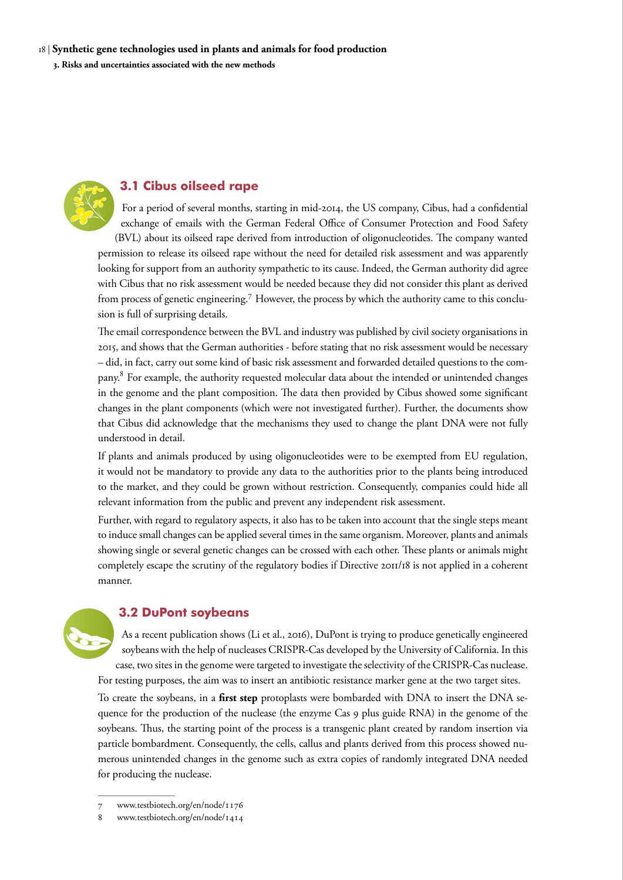<span id="page-17-0"></span>

## **3.1 Cibus oilseed rape**

For a period of several months, starting in mid-2014, the US company, Cibus, had a confidential exchange of emails with the German Federal Office of Consumer Protection and Food Safety (BVL) about its oilseed rape derived from introduction of oligonucleotides. The company wanted permission to release its oilseed rape without the need for detailed risk assessment and was apparently looking for support from an authority sympathetic to its cause. Indeed, the German authority did agree with Cibus that no risk assessment would be needed because they did not consider this plant as derived from process of genetic engineering.7 However, the process by which the authority came to this conclusion is full of surprising details.

The email correspondence between the BVL and industry was published by civil society organisations in 2015, and shows that the German authorities - before stating that no risk assessment would be necessary – did, in fact, carry out some kind of basic risk assessment and forwarded detailed questions to the company.<sup>8</sup> For example, the authority requested molecular data about the intended or unintended changes in the genome and the plant composition. The data then provided by Cibus showed some significant changes in the plant components (which were not investigated further). Further, the documents show that Cibus did acknowledge that the mechanisms they used to change the plant DNA were not fully understood in detail.

If plants and animals produced by using oligonucleotides were to be exempted from EU regulation, it would not be mandatory to provide any data to the authorities prior to the plants being introduced to the market, and they could be grown without restriction. Consequently, companies could hide all relevant information from the public and prevent any independent risk assessment.

Further, with regard to regulatory aspects, it also has to be taken into account that the single steps meant to induce small changes can be applied several times in the same organism. Moreover, plants and animals showing single or several genetic changes can be crossed with each other. These plants or animals might completely escape the scrutiny of the regulatory bodies if Directive 2011/18 is not applied in a coherent manner.



### **3.2 DuPont soybeans**

As a recent publication shows (Li et al., 2016), DuPont is trying to produce genetically engineered soybeans with the help of nucleases CRISPR-Cas developed by the University of California. In this case, two sites in the genome were targeted to investigate the selectivity of the CRISPR-Cas nuclease. For testing purposes, the aim was to insert an antibiotic resistance marker gene at the two target sites.

To create the soybeans, in a **first step** protoplasts were bombarded with DNA to insert the DNA sequence for the production of the nuclease (the enzyme Cas 9 plus guide RNA) in the genome of the soybeans. Thus, the starting point of the process is a transgenic plant created by random insertion via particle bombardment. Consequently, the cells, callus and plants derived from this process showed numerous unintended changes in the genome such as extra copies of randomly integrated DNA needed for producing the nuclease.

<sup>7</sup> www.testbiotech.org/en/node/1176

<sup>8</sup> www.testbiotech.org/en/node/1414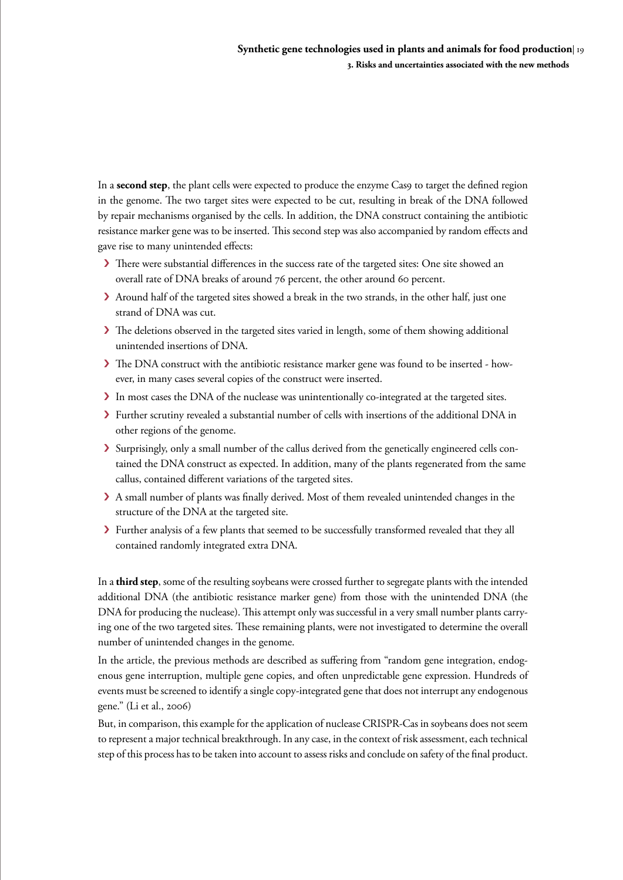In a **second step**, the plant cells were expected to produce the enzyme Cas9 to target the defined region in the genome. The two target sites were expected to be cut, resulting in break of the DNA followed by repair mechanisms organised by the cells. In addition, the DNA construct containing the antibiotic resistance marker gene was to be inserted. This second step was also accompanied by random effects and gave rise to many unintended effects:

- > There were substantial differences in the success rate of the targeted sites: One site showed an overall rate of DNA breaks of around 76 percent, the other around 60 percent.
- > Around half of the targeted sites showed a break in the two strands, in the other half, just one strand of DNA was cut.
- › The deletions observed in the targeted sites varied in length, some of them showing additional unintended insertions of DNA.
- › The DNA construct with the antibiotic resistance marker gene was found to be inserted however, in many cases several copies of the construct were inserted.
- › In most cases the DNA of the nuclease was unintentionally co-integrated at the targeted sites.
- › Further scrutiny revealed a substantial number of cells with insertions of the additional DNA in other regions of the genome.
- › Surprisingly, only a small number of the callus derived from the genetically engineered cells contained the DNA construct as expected. In addition, many of the plants regenerated from the same callus, contained different variations of the targeted sites.
- > A small number of plants was finally derived. Most of them revealed unintended changes in the structure of the DNA at the targeted site.
- > Further analysis of a few plants that seemed to be successfully transformed revealed that they all contained randomly integrated extra DNA.

In a **third step**, some of the resulting soybeans were crossed further to segregate plants with the intended additional DNA (the antibiotic resistance marker gene) from those with the unintended DNA (the DNA for producing the nuclease). This attempt only was successful in a very small number plants carrying one of the two targeted sites. These remaining plants, were not investigated to determine the overall number of unintended changes in the genome.

In the article, the previous methods are described as suffering from "random gene integration, endogenous gene interruption, multiple gene copies, and often unpredictable gene expression. Hundreds of events must be screened to identify a single copy-integrated gene that does not interrupt any endogenous gene." (Li et al., 2006)

But, in comparison, this example for the application of nuclease CRISPR-Cas in soybeans does not seem to represent a major technical breakthrough. In any case, in the context of risk assessment, each technical step of this process has to be taken into account to assess risks and conclude on safety of the final product.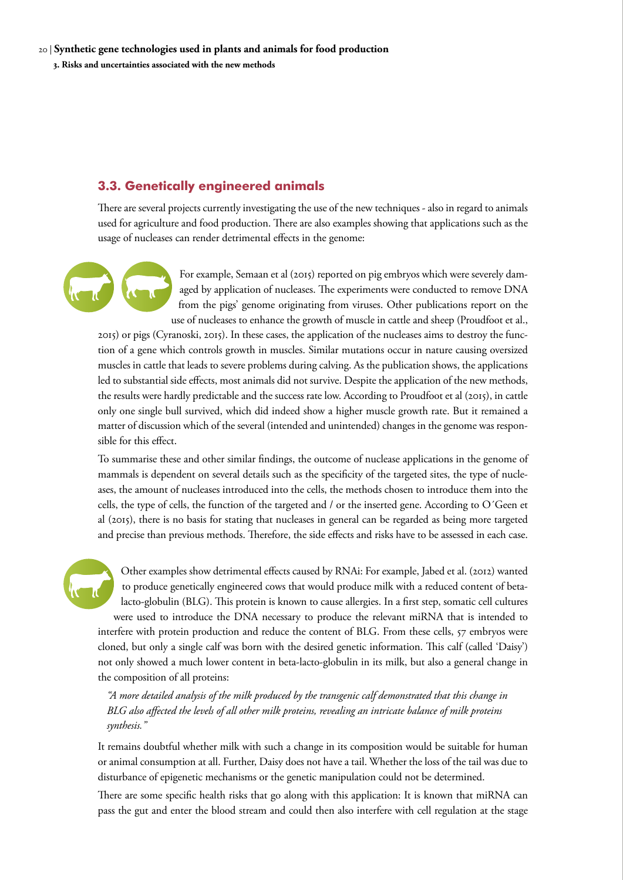#### <span id="page-19-0"></span>20 | **Synthetic gene technologies used in plants and animals for food production 3. Risks and uncertainties associated with the new methods**

## **3.3. Genetically engineered animals**

There are several projects currently investigating the use of the new techniques - also in regard to animals used for agriculture and food production. There are also examples showing that applications such as the usage of nucleases can render detrimental effects in the genome:

> For example, Semaan et al (2015) reported on pig embryos which were severely damaged by application of nucleases. The experiments were conducted to remove DNA from the pigs' genome originating from viruses. Other publications report on the use of nucleases to enhance the growth of muscle in cattle and sheep (Proudfoot et al.,

2015) or pigs (Cyranoski, 2015). In these cases, the application of the nucleases aims to destroy the function of a gene which controls growth in muscles. Similar mutations occur in nature causing oversized muscles in cattle that leads to severe problems during calving. As the publication shows, the applications led to substantial side effects, most animals did not survive. Despite the application of the new methods, the results were hardly predictable and the success rate low. According to Proudfoot et al (2015), in cattle only one single bull survived, which did indeed show a higher muscle growth rate. But it remained a matter of discussion which of the several (intended and unintended) changes in the genome was responsible for this effect.

To summarise these and other similar findings, the outcome of nuclease applications in the genome of mammals is dependent on several details such as the specificity of the targeted sites, the type of nucleases, the amount of nucleases introduced into the cells, the methods chosen to introduce them into the cells, the type of cells, the function of the targeted and / or the inserted gene. According to O´Geen et al (2015), there is no basis for stating that nucleases in general can be regarded as being more targeted and precise than previous methods. Therefore, the side effects and risks have to be assessed in each case.

Other examples show detrimental effects caused by RNAi: For example, Jabed et al. (2012) wanted to produce genetically engineered cows that would produce milk with a reduced content of betalacto-globulin (BLG). This protein is known to cause allergies. In a first step, somatic cell cultures were used to introduce the DNA necessary to produce the relevant miRNA that is intended to interfere with protein production and reduce the content of BLG. From these cells, 57 embryos were cloned, but only a single calf was born with the desired genetic information. This calf (called 'Daisy') not only showed a much lower content in beta-lacto-globulin in its milk, but also a general change in the composition of all proteins:

*"A more detailed analysis of the milk produced by the transgenic calf demonstrated that this change in BLG also affected the levels of all other milk proteins, revealing an intricate balance of milk proteins synthesis."*

It remains doubtful whether milk with such a change in its composition would be suitable for human or animal consumption at all. Further, Daisy does not have a tail. Whether the loss of the tail was due to disturbance of epigenetic mechanisms or the genetic manipulation could not be determined.

There are some specific health risks that go along with this application: It is known that miRNA can pass the gut and enter the blood stream and could then also interfere with cell regulation at the stage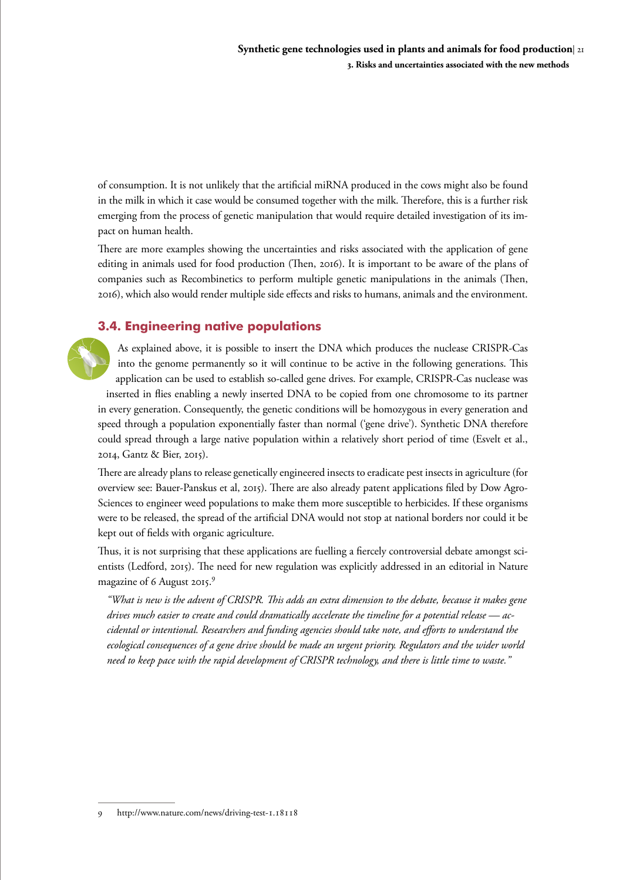<span id="page-20-0"></span>of consumption. It is not unlikely that the artificial miRNA produced in the cows might also be found in the milk in which it case would be consumed together with the milk. Therefore, this is a further risk emerging from the process of genetic manipulation that would require detailed investigation of its impact on human health.

There are more examples showing the uncertainties and risks associated with the application of gene editing in animals used for food production (Then, 2016). It is important to be aware of the plans of companies such as Recombinetics to perform multiple genetic manipulations in the animals (Then, 2016), which also would render multiple side effects and risks to humans, animals and the environment.

## **3.4. Engineering native populations**

As explained above, it is possible to insert the DNA which produces the nuclease CRISPR-Cas into the genome permanently so it will continue to be active in the following generations. This application can be used to establish so-called gene drives. For example, CRISPR-Cas nuclease was inserted in flies enabling a newly inserted DNA to be copied from one chromosome to its partner in every generation. Consequently, the genetic conditions will be homozygous in every generation and speed through a population exponentially faster than normal ('gene drive'). Synthetic DNA therefore could spread through a large native population within a relatively short period of time (Esvelt et al., 2014, Gantz & Bier, 2015).

There are already plans to release genetically engineered insects to eradicate pest insects in agriculture (for overview see: Bauer-Panskus et al, 2015). There are also already patent applications filed by Dow Agro-Sciences to engineer weed populations to make them more susceptible to herbicides. If these organisms were to be released, the spread of the artificial DNA would not stop at national borders nor could it be kept out of fields with organic agriculture.

Thus, it is not surprising that these applications are fuelling a fiercely controversial debate amongst scientists (Ledford, 2015). The need for new regulation was explicitly addressed in an editorial in Nature magazine of 6 August 2015.9

*"What is new is the advent of CRISPR. This adds an extra dimension to the debate, because it makes gene drives much easier to create and could dramatically accelerate the timeline for a potential release — accidental or intentional. Researchers and funding agencies should take note, and efforts to understand the ecological consequences of a gene drive should be made an urgent priority. Regulators and the wider world need to keep pace with the rapid development of CRISPR technology, and there is little time to waste."* 

<sup>9</sup> http://www.nature.com/news/driving-test-1.18118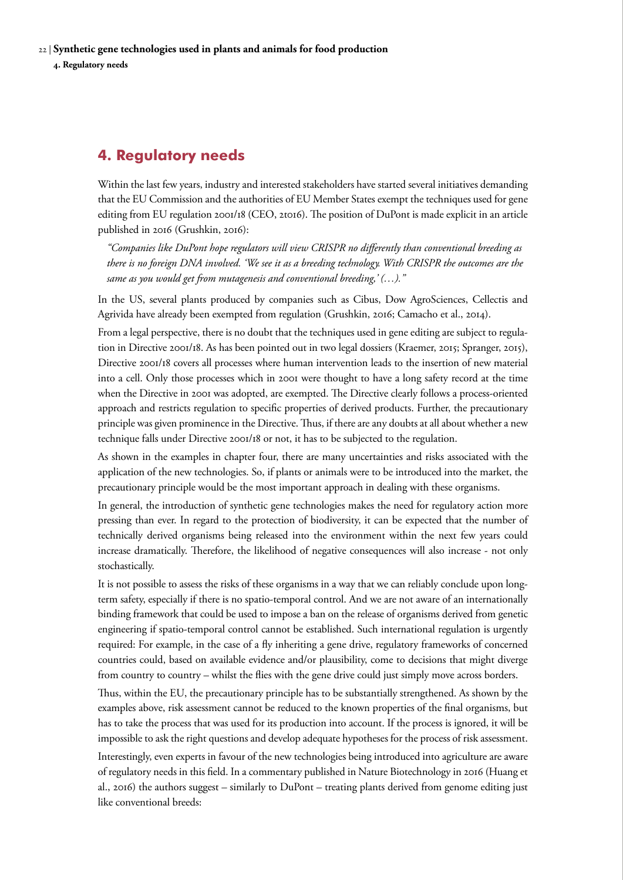<span id="page-21-0"></span>22 | **Synthetic gene technologies used in plants and animals for food production 4. Regulatory needs** 

## **4. Regulatory needs**

Within the last few years, industry and interested stakeholders have started several initiatives demanding that the EU Commission and the authorities of EU Member States exempt the techniques used for gene editing from EU regulation 2001/18 (CEO, 2t016). The position of DuPont is made explicit in an article published in 2016 (Grushkin, 2016):

*"Companies like DuPont hope regulators will view CRISPR no differently than conventional breeding as there is no foreign DNA involved. 'We see it as a breeding technology. With CRISPR the outcomes are the same as you would get from mutagenesis and conventional breeding,' (…)."*

In the US, several plants produced by companies such as Cibus, Dow AgroSciences, Cellectis and Agrivida have already been exempted from regulation (Grushkin, 2016; Camacho et al., 2014).

From a legal perspective, there is no doubt that the techniques used in gene editing are subject to regulation in Directive 2001/18. As has been pointed out in two legal dossiers (Kraemer, 2015; Spranger, 2015), Directive 2001/18 covers all processes where human intervention leads to the insertion of new material into a cell. Only those processes which in 2001 were thought to have a long safety record at the time when the Directive in 2001 was adopted, are exempted. The Directive clearly follows a process-oriented approach and restricts regulation to specific properties of derived products. Further, the precautionary principle was given prominence in the Directive. Thus, if there are any doubts at all about whether a new technique falls under Directive 2001/18 or not, it has to be subjected to the regulation.

As shown in the examples in chapter four, there are many uncertainties and risks associated with the application of the new technologies. So, if plants or animals were to be introduced into the market, the precautionary principle would be the most important approach in dealing with these organisms.

In general, the introduction of synthetic gene technologies makes the need for regulatory action more pressing than ever. In regard to the protection of biodiversity, it can be expected that the number of technically derived organisms being released into the environment within the next few years could increase dramatically. Therefore, the likelihood of negative consequences will also increase - not only stochastically.

It is not possible to assess the risks of these organisms in a way that we can reliably conclude upon longterm safety, especially if there is no spatio-temporal control. And we are not aware of an internationally binding framework that could be used to impose a ban on the release of organisms derived from genetic engineering if spatio-temporal control cannot be established. Such international regulation is urgently required: For example, in the case of a fly inheriting a gene drive, regulatory frameworks of concerned countries could, based on available evidence and/or plausibility, come to decisions that might diverge from country to country – whilst the flies with the gene drive could just simply move across borders.

Thus, within the EU, the precautionary principle has to be substantially strengthened. As shown by the examples above, risk assessment cannot be reduced to the known properties of the final organisms, but has to take the process that was used for its production into account. If the process is ignored, it will be impossible to ask the right questions and develop adequate hypotheses for the process of risk assessment. Interestingly, even experts in favour of the new technologies being introduced into agriculture are aware of regulatory needs in this field. In a commentary published in Nature Biotechnology in 2016 (Huang et al., 2016) the authors suggest – similarly to DuPont – treating plants derived from genome editing just like conventional breeds: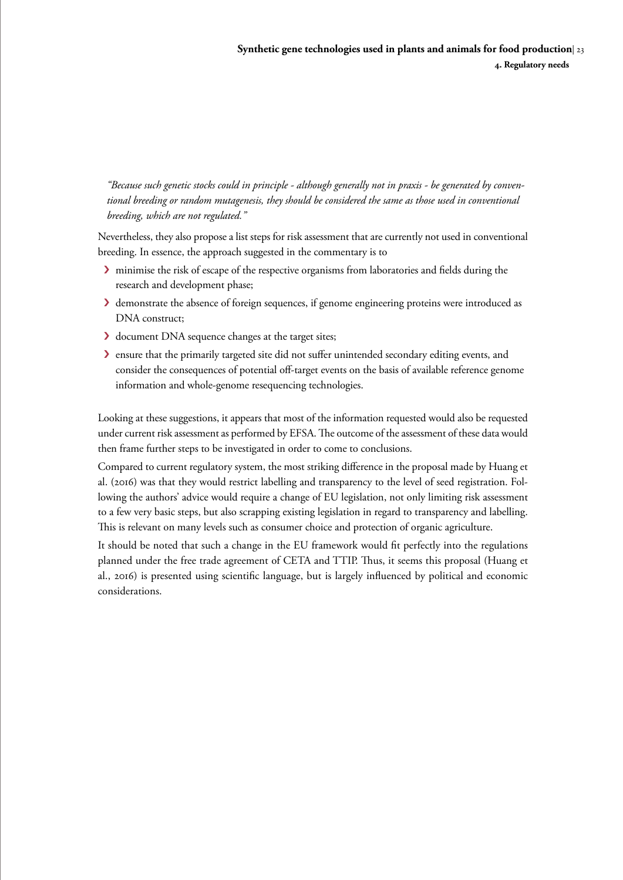*"Because such genetic stocks could in principle - although generally not in praxis - be generated by conventional breeding or random mutagenesis, they should be considered the same as those used in conventional breeding, which are not regulated."* 

Nevertheless, they also propose a list steps for risk assessment that are currently not used in conventional breeding. In essence, the approach suggested in the commentary is to

- › minimise the risk of escape of the respective organisms from laboratories and fields during the research and development phase;
- › demonstrate the absence of foreign sequences, if genome engineering proteins were introduced as DNA construct;
- › document DNA sequence changes at the target sites;
- › ensure that the primarily targeted site did not suffer unintended secondary editing events, and consider the consequences of potential off-target events on the basis of available reference genome information and whole-genome resequencing technologies.

Looking at these suggestions, it appears that most of the information requested would also be requested under current risk assessment as performed by EFSA. The outcome of the assessment of these data would then frame further steps to be investigated in order to come to conclusions.

Compared to current regulatory system, the most striking difference in the proposal made by Huang et al. (2016) was that they would restrict labelling and transparency to the level of seed registration. Following the authors' advice would require a change of EU legislation, not only limiting risk assessment to a few very basic steps, but also scrapping existing legislation in regard to transparency and labelling. This is relevant on many levels such as consumer choice and protection of organic agriculture.

It should be noted that such a change in the EU framework would fit perfectly into the regulations planned under the free trade agreement of CETA and TTIP. Thus, it seems this proposal (Huang et al., 2016) is presented using scientific language, but is largely influenced by political and economic considerations.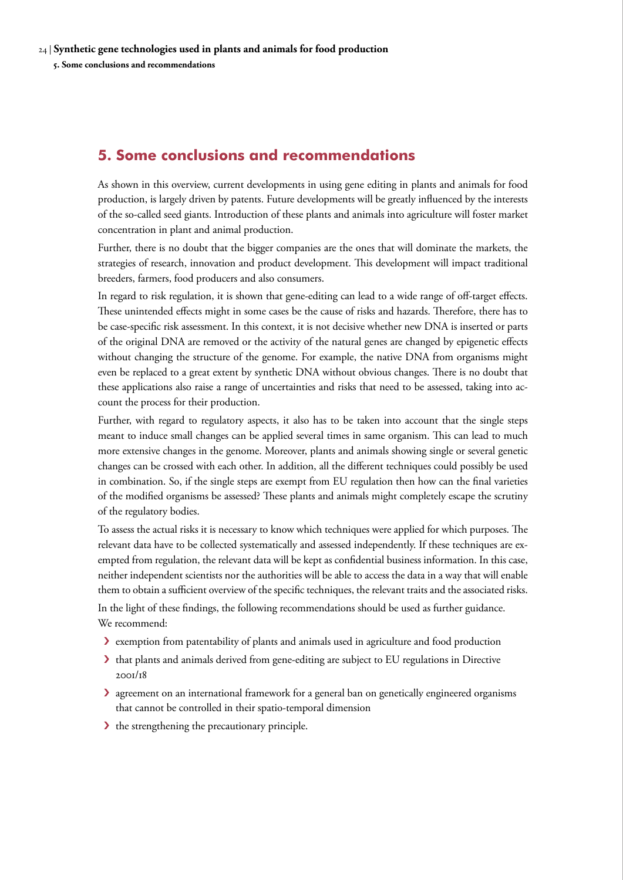## <span id="page-23-0"></span>**5. Some conclusions and recommendations**

As shown in this overview, current developments in using gene editing in plants and animals for food production, is largely driven by patents. Future developments will be greatly influenced by the interests of the so-called seed giants. Introduction of these plants and animals into agriculture will foster market concentration in plant and animal production.

Further, there is no doubt that the bigger companies are the ones that will dominate the markets, the strategies of research, innovation and product development. This development will impact traditional breeders, farmers, food producers and also consumers.

In regard to risk regulation, it is shown that gene-editing can lead to a wide range of off-target effects. These unintended effects might in some cases be the cause of risks and hazards. Therefore, there has to be case-specific risk assessment. In this context, it is not decisive whether new DNA is inserted or parts of the original DNA are removed or the activity of the natural genes are changed by epigenetic effects without changing the structure of the genome. For example, the native DNA from organisms might even be replaced to a great extent by synthetic DNA without obvious changes. There is no doubt that these applications also raise a range of uncertainties and risks that need to be assessed, taking into account the process for their production.

Further, with regard to regulatory aspects, it also has to be taken into account that the single steps meant to induce small changes can be applied several times in same organism. This can lead to much more extensive changes in the genome. Moreover, plants and animals showing single or several genetic changes can be crossed with each other. In addition, all the different techniques could possibly be used in combination. So, if the single steps are exempt from EU regulation then how can the final varieties of the modified organisms be assessed? These plants and animals might completely escape the scrutiny of the regulatory bodies.

To assess the actual risks it is necessary to know which techniques were applied for which purposes. The relevant data have to be collected systematically and assessed independently. If these techniques are exempted from regulation, the relevant data will be kept as confidential business information. In this case, neither independent scientists nor the authorities will be able to access the data in a way that will enable them to obtain a sufficient overview of the specific techniques, the relevant traits and the associated risks. In the light of these findings, the following recommendations should be used as further guidance. We recommend:

- › exemption from patentability of plants and animals used in agriculture and food production
- › that plants and animals derived from gene-editing are subject to EU regulations in Directive 2001/18
- › agreement on an international framework for a general ban on genetically engineered organisms that cannot be controlled in their spatio-temporal dimension
- If the strengthening the precautionary principle.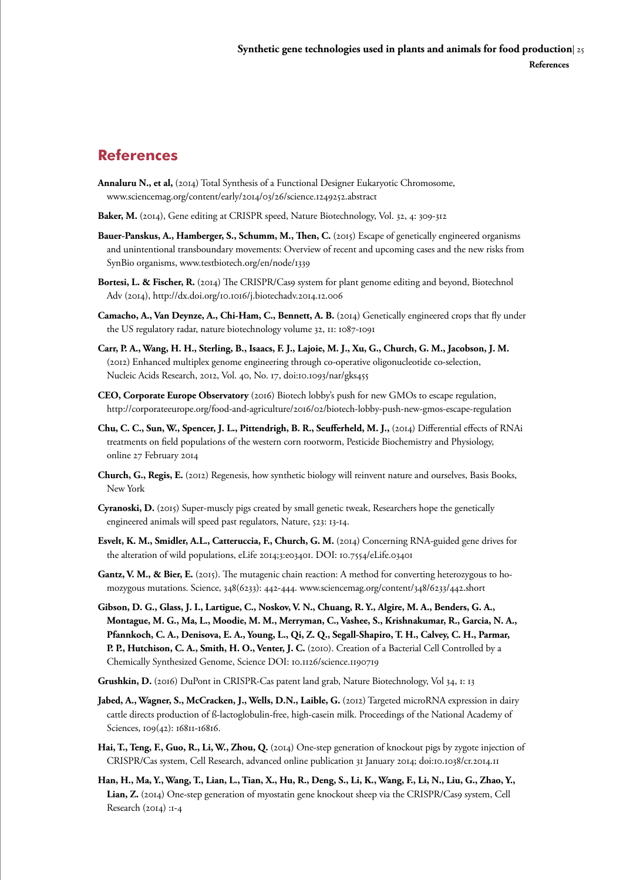# <span id="page-24-0"></span>**References**

- **Annaluru N., et al,** (2014) Total Synthesis of a Functional Designer Eukaryotic Chromosome, [www.sciencemag.org/content/early/2014/03/26/science.1249252.abstract](http://www.sciencemag.org/content/early/2014/03/26/science.1249252.abstract)
- **Baker, M.** (2014), Gene editing at CRISPR speed, Nature Biotechnology, Vol. 32, 4: 309-312
- **Bauer-Panskus, A., Hamberger, S., Schumm, M., Then, C.** (2015) Escape of genetically engineered organisms and unintentional transboundary movements: Overview of recent and upcoming cases and the new risks from SynBio organisms, [www.testbiotech.org/en/node/1339](http://www.testbiotech.org/en/node/1339)
- **Bortesi, L. & Fischer, R.** (2014) The CRISPR/Cas9 system for plant genome editing and beyond, Biotechnol Adv (2014),<http://dx.doi.org/10.1016/j.biotechadv.2014.12.006>
- **Camacho, A., Van Deynze, A., Chi-Ham, C., Bennett, A. B.** (2014) Genetically engineered crops that fly under the US regulatory radar, nature biotechnology volume 32, 11: 1087-1091
- **Carr, P. A., Wang, H. H., Sterling, B., Isaacs, F. J., Lajoie, M. J., Xu, G., Church, G. M., Jacobson, J. M.**  (2012) Enhanced multiplex genome engineering through co-operative oligonucleotide co-selection, Nucleic Acids Research, 2012, Vol. 40, No. 17, doi:10.1093/nar/gks455
- **CEO, Corporate Europe Observatory** (2016) Biotech lobby's push for new GMOs to escape regulation, <http://corporateeurope.org/food-and-agriculture/2016/02/biotech-lobby-push-new-gmos-escape-regulation>
- **Chu, C. C., Sun, W., Spencer, J. L., Pittendrigh, B. R., Seufferheld, M. J.,** (2014) Differential effects of RNAi treatments on field populations of the western corn rootworm, Pesticide Biochemistry and Physiology, online 27 February 2014
- **Church, G., Regis, E.** (2012) Regenesis, how synthetic biology will reinvent nature and ourselves, Basis Books, New York
- **Cyranoski, D.** (2015) Super-muscly pigs created by small genetic tweak, Researchers hope the genetically engineered animals will speed past regulators, Nature, 523: 13-14.
- **Esvelt, K. M., Smidler, A.L., Catteruccia, F., Church, G. M.** (2014) Concerning RNA-guided gene drives for the alteration of wild populations, eLife 2014;3:e03401. DOI: 10.7554/eLife.03401
- **Gantz, V. M., & Bier, E.** (2015). The mutagenic chain reaction: A method for converting heterozygous to homozygous mutations. Science, 348(6233): 442-444. [www.sciencemag.org/content/348/6233/442.short](http://www.sciencemag.org/content/348/6233/442.short)
- **Gibson, D. G., Glass, J. I., Lartigue, C., Noskov, V. N., Chuang, R. Y., Algire, M. A., Benders, G. A., Montague, M. G., Ma, L., Moodie, M. M., Merryman, C., Vashee, S., Krishnakumar, R., Garcia, N. A., Pfannkoch, C. A., Denisova, E. A., Young, L., Qi, Z. Q., Segall-Shapiro, T. H., Calvey, C. H., Parmar, P. P., Hutchison, C. A., Smith, H. O., Venter, J. C.** (2010). Creation of a Bacterial Cell Controlled by a Chemically Synthesized Genome, Science DOI: 10.1126/science.1190719
- **Grushkin, D.** (2016) DuPont in CRISPR-Cas patent land grab, Nature Biotechnology, Vol 34, 1: 13
- **Jabed, A., Wagner, S., McCracken, J., Wells, D.N., Laible, G.** (2012) Targeted microRNA expression in dairy cattle directs production of ß-lactoglobulin-free, high-casein milk. Proceedings of the National Academy of Sciences, 109(42): 16811-16816.
- **Hai, T., Teng, F., Guo, R., Li, W., Zhou, Q.** (2014) One-step generation of knockout pigs by zygote injection of CRISPR/Cas system, Cell Research, advanced online publication 31 January 2014; doi:10.1038/cr.2014.11
- **Han, H., Ma, Y., Wang, T., Lian, L., Tian, X., Hu, R., Deng, S., Li, K., Wang, F., Li, N., Liu, G., Zhao, Y., Lian, Z.** (2014) One-step generation of myostatin gene knockout sheep via the CRISPR/Cas9 system, Cell Research (2014) :1-4